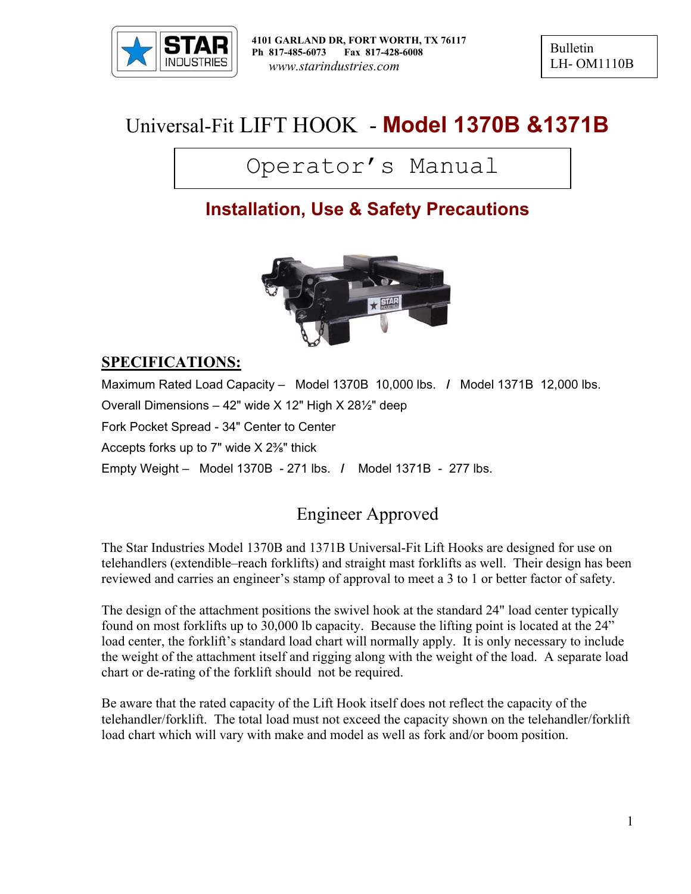

Bulletin LH- OM1110B

# Universal-Fit LIFT HOOK - **Model 1370B &1371B**

# Operator's Manual

# **Installation, Use & Safety Precautions**



## **SPECIFICATIONS:**

Maximum Rated Load Capacity – Model 1370B 10,000 lbs. **/** Model 1371B 12,000 lbs. Overall Dimensions – 42" wide X 12" High X 28½" deep Fork Pocket Spread - 34" Center to Center Accepts forks up to 7" wide X 2⅜" thick Empty Weight – Model 1370B - 271 lbs. **/** Model 1371B - 277 lbs.

# Engineer Approved

The Star Industries Model 1370B and 1371B Universal-Fit Lift Hooks are designed for use on telehandlers (extendible–reach forklifts) and straight mast forklifts as well. Their design has been reviewed and carries an engineer's stamp of approval to meet a 3 to 1 or better factor of safety.

The design of the attachment positions the swivel hook at the standard 24" load center typically found on most forklifts up to 30,000 lb capacity. Because the lifting point is located at the 24" load center, the forklift's standard load chart will normally apply. It is only necessary to include the weight of the attachment itself and rigging along with the weight of the load. A separate load chart or de-rating of the forklift should not be required.

Be aware that the rated capacity of the Lift Hook itself does not reflect the capacity of the telehandler/forklift. The total load must not exceed the capacity shown on the telehandler/forklift load chart which will vary with make and model as well as fork and/or boom position.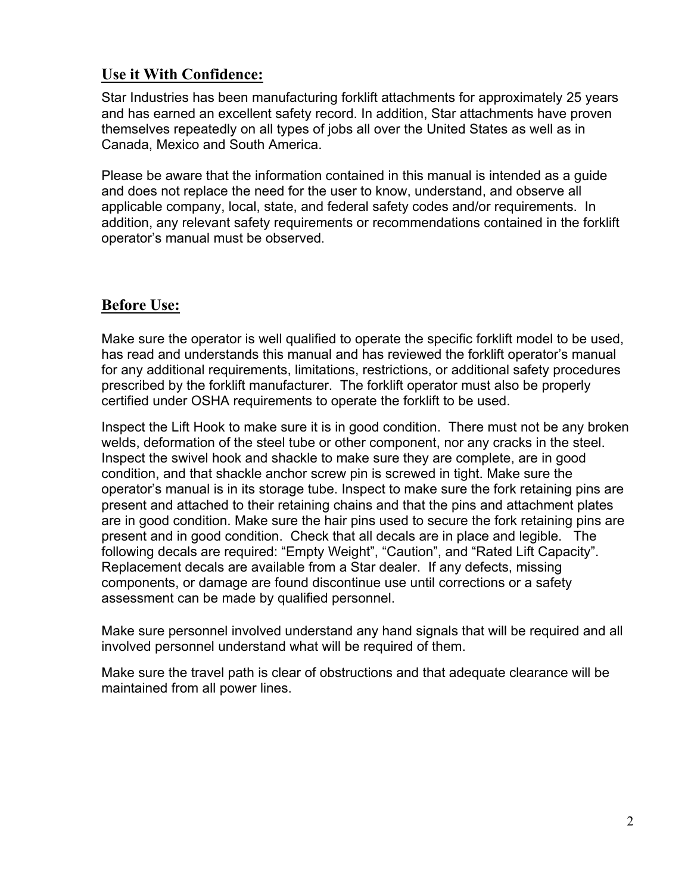#### **Use it With Confidence:**

Star Industries has been manufacturing forklift attachments for approximately 25 years and has earned an excellent safety record. In addition, Star attachments have proven themselves repeatedly on all types of jobs all over the United States as well as in Canada, Mexico and South America.

Please be aware that the information contained in this manual is intended as a guide and does not replace the need for the user to know, understand, and observe all applicable company, local, state, and federal safety codes and/or requirements. In addition, any relevant safety requirements or recommendations contained in the forklift operator's manual must be observed.

## **Before Use:**

Make sure the operator is well qualified to operate the specific forklift model to be used, has read and understands this manual and has reviewed the forklift operator's manual for any additional requirements, limitations, restrictions, or additional safety procedures prescribed by the forklift manufacturer. The forklift operator must also be properly certified under OSHA requirements to operate the forklift to be used.

Inspect the Lift Hook to make sure it is in good condition. There must not be any broken welds, deformation of the steel tube or other component, nor any cracks in the steel. Inspect the swivel hook and shackle to make sure they are complete, are in good condition, and that shackle anchor screw pin is screwed in tight. Make sure the operator's manual is in its storage tube. Inspect to make sure the fork retaining pins are present and attached to their retaining chains and that the pins and attachment plates are in good condition. Make sure the hair pins used to secure the fork retaining pins are present and in good condition. Check that all decals are in place and legible. The following decals are required: "Empty Weight", "Caution", and "Rated Lift Capacity". Replacement decals are available from a Star dealer. If any defects, missing components, or damage are found discontinue use until corrections or a safety assessment can be made by qualified personnel.

Make sure personnel involved understand any hand signals that will be required and all involved personnel understand what will be required of them.

Make sure the travel path is clear of obstructions and that adequate clearance will be maintained from all power lines.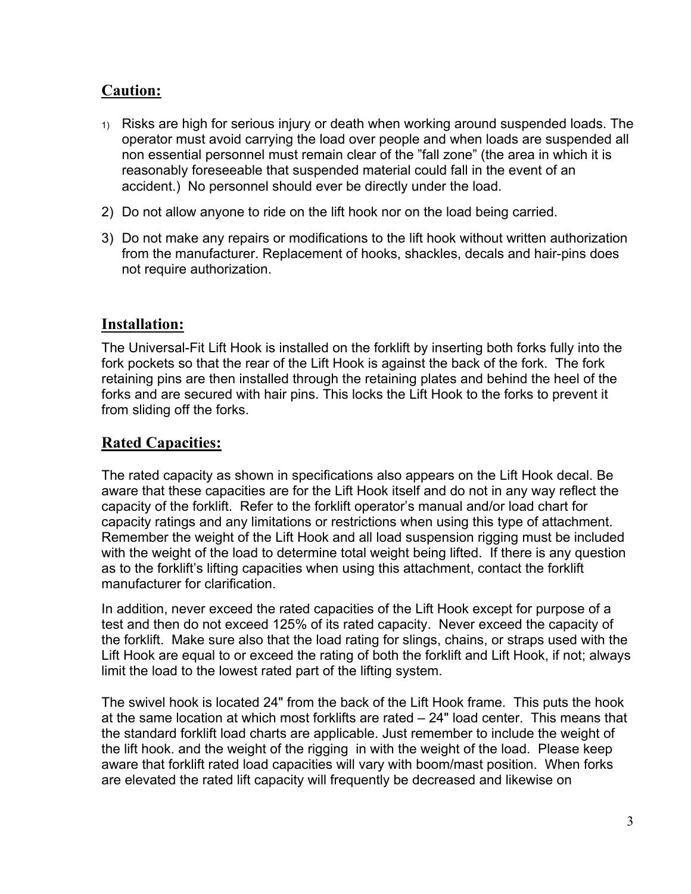## **Caution:**

- 1) Risks are high for serious injury or death when working around suspended loads. The operator must avoid carrying the load over people and when loads are suspended all non essential personnel must remain clear of the "fall zone" (the area in which it is reasonably foreseeable that suspended material could fall in the event of an accident.) No personnel should ever be directly under the load.
- 2) Do not allow anyone to ride on the lift hook nor on the load being carried.
- 3) Do not make any repairs or modifications to the lift hook without written authorization from the manufacturer. Replacement of hooks, shackles, decals and hair-pins does not require authorization.

#### **Installation:**

The Universal-Fit Lift Hook is installed on the forklift by inserting both forks fully into the fork pockets so that the rear of the Lift Hook is against the back of the fork. The fork retaining pins are then installed through the retaining plates and behind the heel of the forks and are secured with hair pins. This locks the Lift Hook to the forks to prevent it from sliding off the forks.

## **Rated Capacities:**

The rated capacity as shown in specifications also appears on the Lift Hook decal. Be aware that these capacities are for the Lift Hook itself and do not in any way reflect the capacity of the forklift. Refer to the forklift operator's manual and/or load chart for capacity ratings and any limitations or restrictions when using this type of attachment. Remember the weight of the Lift Hook and all load suspension rigging must be included with the weight of the load to determine total weight being lifted. If there is any question as to the forklift's lifting capacities when using this attachment, contact the forklift manufacturer for clarification.

In addition, never exceed the rated capacities of the Lift Hook except for purpose of a test and then do not exceed 125% of its rated capacity. Never exceed the capacity of the forklift. Make sure also that the load rating for slings, chains, or straps used with the Lift Hook are equal to or exceed the rating of both the forklift and Lift Hook, if not; always limit the load to the lowest rated part of the lifting system.

The swivel hook is located 24" from the back of the Lift Hook frame. This puts the hook at the same location at which most forklifts are rated – 24" load center. This means that the standard forklift load charts are applicable. Just remember to include the weight of the lift hook. and the weight of the rigging in with the weight of the load. Please keep aware that forklift rated load capacities will vary with boom/mast position. When forks are elevated the rated lift capacity will frequently be decreased and likewise on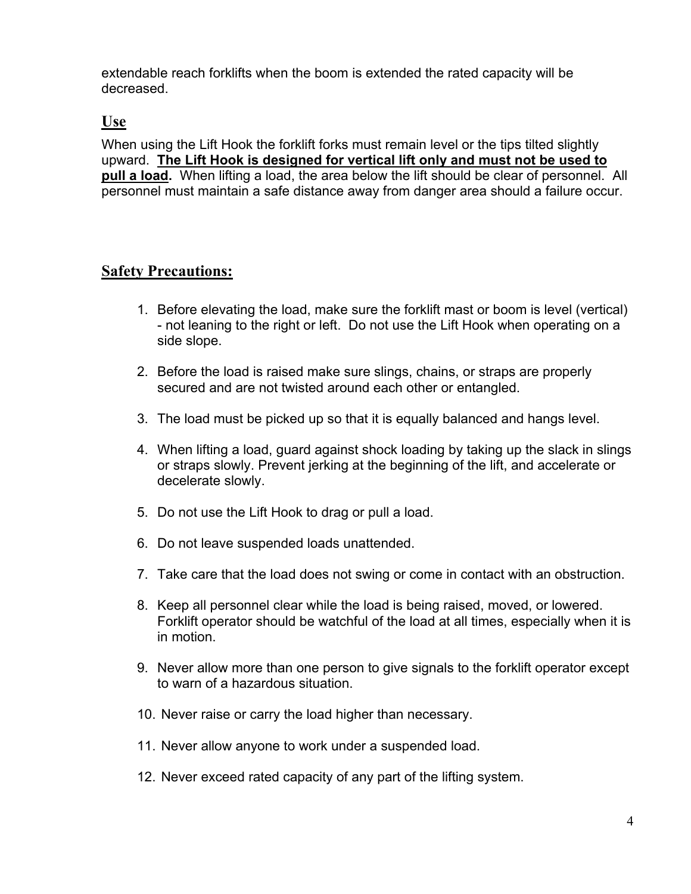extendable reach forklifts when the boom is extended the rated capacity will be decreased.

#### **Use**

When using the Lift Hook the forklift forks must remain level or the tips tilted slightly upward. **The Lift Hook is designed for vertical lift only and must not be used to pull a load.** When lifting a load, the area below the lift should be clear of personnel. All personnel must maintain a safe distance away from danger area should a failure occur.

#### **Safety Precautions:**

- 1. Before elevating the load, make sure the forklift mast or boom is level (vertical) - not leaning to the right or left. Do not use the Lift Hook when operating on a side slope.
- 2. Before the load is raised make sure slings, chains, or straps are properly secured and are not twisted around each other or entangled.
- 3. The load must be picked up so that it is equally balanced and hangs level.
- 4. When lifting a load, guard against shock loading by taking up the slack in slings or straps slowly. Prevent jerking at the beginning of the lift, and accelerate or decelerate slowly.
- 5. Do not use the Lift Hook to drag or pull a load.
- 6. Do not leave suspended loads unattended.
- 7. Take care that the load does not swing or come in contact with an obstruction.
- 8. Keep all personnel clear while the load is being raised, moved, or lowered. Forklift operator should be watchful of the load at all times, especially when it is in motion.
- 9. Never allow more than one person to give signals to the forklift operator except to warn of a hazardous situation.
- 10. Never raise or carry the load higher than necessary.
- 11. Never allow anyone to work under a suspended load.
- 12. Never exceed rated capacity of any part of the lifting system.